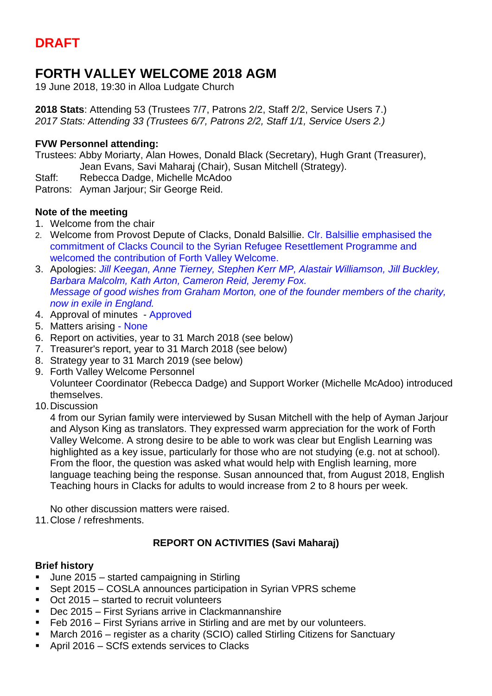# **DRAFT**

# **FORTH VALLEY WELCOME 2018 AGM**

19 June 2018, 19:30 in Alloa Ludgate Church

**2018 Stats**: Attending 53 (Trustees 7/7, Patrons 2/2, Staff 2/2, Service Users 7.) *2017 Stats: Attending 33 (Trustees 6/7, Patrons 2/2, Staff 1/1, Service Users 2.)*

#### **FVW Personnel attending:**

Trustees: Abby Moriarty, Alan Howes, Donald Black (Secretary), Hugh Grant (Treasurer), Jean Evans, Savi Maharaj (Chair), Susan Mitchell (Strategy).

Staff: Rebecca Dadge, Michelle McAdoo

Patrons: Ayman Jarjour; Sir George Reid.

#### **Note of the meeting**

- 1. Welcome from the chair
- 2. Welcome from Provost Depute of Clacks, Donald Balsillie. Clr. Balsillie emphasised the commitment of Clacks Council to the Syrian Refugee Resettlement Programme and welcomed the contribution of Forth Valley Welcome.
- 3. Apologies: *Jill Keegan, Anne Tierney, Stephen Kerr MP, Alastair Williamson, Jill Buckley, Barbara Malcolm, Kath Arton, Cameron Reid, Jeremy Fox. Message of good wishes from Graham Morton, one of the founder members of the charity, now in exile in England.*
- 4. Approval of minutes Approved
- 5. Matters arising None
- 6. Report on activities, year to 31 March 2018 (see below)
- 7. Treasurer's report, year to 31 March 2018 (see below)
- 8. Strategy year to 31 March 2019 (see below)
- 9. Forth Valley Welcome Personnel Volunteer Coordinator (Rebecca Dadge) and Support Worker (Michelle McAdoo) introduced themselves.
- 10.Discussion

4 from our Syrian family were interviewed by Susan Mitchell with the help of Ayman Jarjour and Alyson King as translators. They expressed warm appreciation for the work of Forth Valley Welcome. A strong desire to be able to work was clear but English Learning was highlighted as a key issue, particularly for those who are not studying (e.g. not at school). From the floor, the question was asked what would help with English learning, more language teaching being the response. Susan announced that, from August 2018, English Teaching hours in Clacks for adults to would increase from 2 to 8 hours per week.

No other discussion matters were raised.

11.Close / refreshments.

## **REPORT ON ACTIVITIES (Savi Maharaj)**

#### **Brief history**

- June 2015 started campaigning in Stirling
- Sept 2015 COSLA announces participation in Syrian VPRS scheme
- Oct 2015 started to recruit volunteers
- Dec 2015 First Syrians arrive in Clackmannanshire
- Feb 2016 First Syrians arrive in Stirling and are met by our volunteers.
- March 2016 register as a charity (SCIO) called Stirling Citizens for Sanctuary
- April 2016 SCfS extends services to Clacks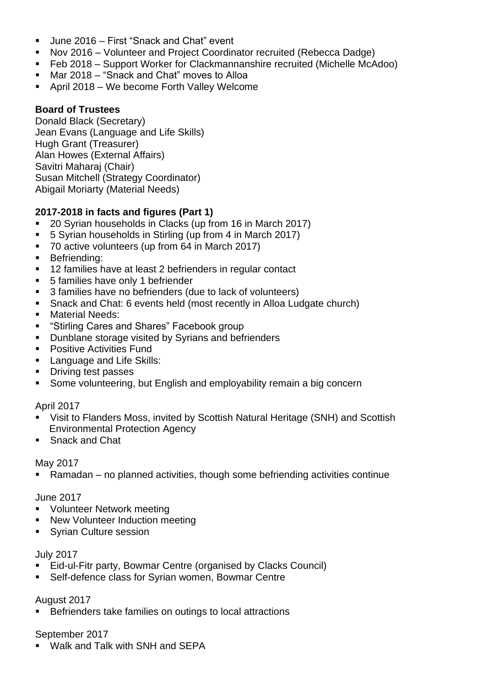- June 2016 First "Snack and Chat" event
- Nov 2016 Volunteer and Project Coordinator recruited (Rebecca Dadge)
- Feb 2018 Support Worker for Clackmannanshire recruited (Michelle McAdoo)
- Mar 2018 "Snack and Chat" moves to Alloa
- April 2018 We become Forth Valley Welcome

### **Board of Trustees**

Donald Black (Secretary) Jean Evans (Language and Life Skills) Hugh Grant (Treasurer) Alan Howes (External Affairs) Savitri Maharaj (Chair) Susan Mitchell (Strategy Coordinator) Abigail Moriarty (Material Needs)

## **2017-2018 in facts and figures (Part 1)**

- 20 Syrian households in Clacks (up from 16 in March 2017)
- 5 Syrian households in Stirling (up from 4 in March 2017)
- 70 active volunteers (up from 64 in March 2017)
- **■** Befriending:
- 12 families have at least 2 befrienders in regular contact
- 5 families have only 1 befriender
- 3 families have no befrienders (due to lack of volunteers)
- Snack and Chat: 6 events held (most recently in Alloa Ludgate church)
- Material Needs:
- "Stirling Cares and Shares" Facebook group
- Dunblane storage visited by Syrians and befrienders
- Positive Activities Fund
- **E** Language and Life Skills:
- Driving test passes
- Some volunteering, but English and employability remain a big concern

#### April 2017

- Visit to Flanders Moss, invited by Scottish Natural Heritage (SNH) and Scottish Environmental Protection Agency
- Snack and Chat

#### May 2017

■ Ramadan – no planned activities, though some befriending activities continue

#### June 2017

- Volunteer Network meeting
- New Volunteer Induction meeting
- Syrian Culture session

#### July 2017

- Eid-ul-Fitr party, Bowmar Centre (organised by Clacks Council)
- Self-defence class for Syrian women, Bowmar Centre

#### August 2017

■ Befrienders take families on outings to local attractions

#### September 2017

■ Walk and Talk with SNH and SEPA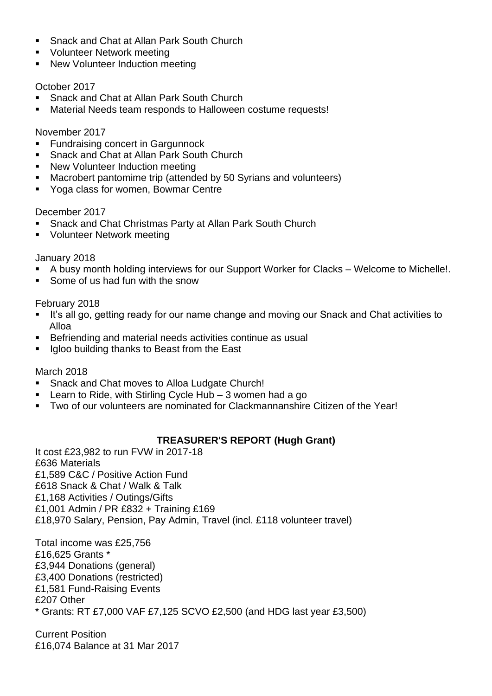- Snack and Chat at Allan Park South Church
- Volunteer Network meeting
- New Volunteer Induction meeting

#### October 2017

- Snack and Chat at Allan Park South Church
- Material Needs team responds to Halloween costume requests!

#### November 2017

- Fundraising concert in Gargunnock
- Snack and Chat at Allan Park South Church
- New Volunteer Induction meeting
- Macrobert pantomime trip (attended by 50 Syrians and volunteers)
- Yoga class for women, Bowmar Centre

#### December 2017

- Snack and Chat Christmas Party at Allan Park South Church
- Volunteer Network meeting

#### January 2018

- A busy month holding interviews for our Support Worker for Clacks Welcome to Michelle!.
- Some of us had fun with the snow

#### February 2018

- It's all go, getting ready for our name change and moving our Snack and Chat activities to Alloa
- Befriending and material needs activities continue as usual
- Igloo building thanks to Beast from the East

## March 2018

- Snack and Chat moves to Alloa Ludgate Church!
- **EXECT** Learn to Ride, with Stirling Cycle Hub  $-3$  women had a go
- Two of our volunteers are nominated for Clackmannanshire Citizen of the Year!

## **TREASURER'S REPORT (Hugh Grant)**

It cost £23,982 to run FVW in 2017-18 £636 Materials £1,589 C&C / Positive Action Fund £618 Snack & Chat / Walk & Talk £1,168 Activities / Outings/Gifts £1,001 Admin / PR £832 + Training £169 £18,970 Salary, Pension, Pay Admin, Travel (incl. £118 volunteer travel)

Total income was £25,756 £16,625 Grants \* £3,944 Donations (general) £3,400 Donations (restricted) £1,581 Fund-Raising Events £207 Other \* Grants: RT £7,000 VAF £7,125 SCVO £2,500 (and HDG last year £3,500)

Current Position £16,074 Balance at 31 Mar 2017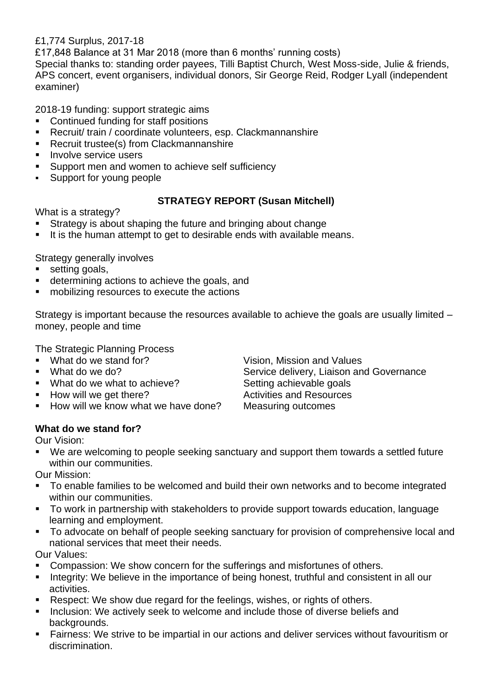£1,774 Surplus, 2017-18

£17,848 Balance at 31 Mar 2018 (more than 6 months' running costs)

Special thanks to: standing order payees, Tilli Baptist Church, West Moss-side, Julie & friends, APS concert, event organisers, individual donors, Sir George Reid, Rodger Lyall (independent examiner)

2018-19 funding: support strategic aims

- Continued funding for staff positions
- Recruit/ train / coordinate volunteers, esp. Clackmannanshire
- Recruit trustee(s) from Clackmannanshire
- **·** Involve service users
- Support men and women to achieve self sufficiency
- Support for young people

## **STRATEGY REPORT (Susan Mitchell)**

What is a strategy?

- Strategy is about shaping the future and bringing about change
- It is the human attempt to get to desirable ends with available means.

Strategy generally involves

- setting goals,
- determining actions to achieve the goals, and
- mobilizing resources to execute the actions

Strategy is important because the resources available to achieve the goals are usually limited – money, people and time

The Strategic Planning Process

- 
- 
- 
- $\blacksquare$  How will we get there?
- How will we know what we have done? Measuring outcomes

■ What do we stand for? Vision, Mission and Values ■ What do we do? Service delivery, Liaison and Governance ■ What do we what to achieve? Setting achievable goals<br>■ How will we get there? Activities and Resources

## **What do we stand for?**

Our Vision:

■ We are welcoming to people seeking sanctuary and support them towards a settled future within our communities.

Our Mission:

- To enable families to be welcomed and build their own networks and to become integrated within our communities.
- To work in partnership with stakeholders to provide support towards education, language learning and employment.
- To advocate on behalf of people seeking sanctuary for provision of comprehensive local and national services that meet their needs.

Our Values:

- Compassion: We show concern for the sufferings and misfortunes of others.
- **EXECT** Integrity: We believe in the importance of being honest, truthful and consistent in all our activities.
- Respect: We show due regard for the feelings, wishes, or rights of others.
- Inclusion: We actively seek to welcome and include those of diverse beliefs and backgrounds.
- **EXECT** Fairness: We strive to be impartial in our actions and deliver services without favouritism or discrimination.